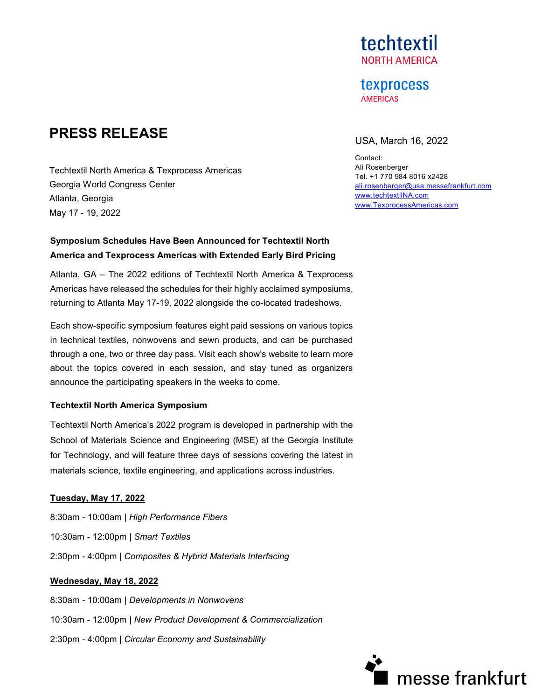## techtextil **NORTH AMERICA**

#### **texprocess AMERICAS**

# **PRESS RELEASE** USA, March 16, 2022

Contact: Ali Rosenberger Tel. +1 770 984 8016 x2428 [ali.rosenberger@usa.messefrankfurt.com](mailto:ali.rosenberger@usa.messefrankfurt.com) [www.techtextilNA.com](http://www.techtextilna.com/) [www.TexprocessAmericas.com](http://www.texprocessamericas.com/)

Techtextil North America & Texprocess Americas Georgia World Congress Center Atlanta, Georgia May 17 - 19, 2022

### **Symposium Schedules Have Been Announced for Techtextil North America and Texprocess Americas with Extended Early Bird Pricing**

Atlanta, GA – The 2022 editions of Techtextil North America & Texprocess Americas have released the schedules for their highly acclaimed symposiums, returning to Atlanta May 17-19, 2022 alongside the co-located tradeshows.

Each show-specific symposium features eight paid sessions on various topics in technical textiles, nonwovens and sewn products, and can be purchased through a one, two or three day pass. Visit each show's website to learn more about the topics covered in each session, and stay tuned as organizers announce the participating speakers in the weeks to come.

#### **Techtextil North America Symposium**

Techtextil North America's 2022 program is developed in partnership with the School of Materials Science and Engineering (MSE) at the Georgia Institute for Technology, and will feature three days of sessions covering the latest in materials science, textile engineering, and applications across industries.

#### **Tuesday, May 17, 2022**

8:30am - 10:00am | *High Performance Fibers* 10:30am - 12:00pm | *Smart Textiles* 2:30pm - 4:00pm | *Composites & Hybrid Materials Interfacing*

#### **Wednesday, May 18, 2022**

8:30am - 10:00am | *Developments in Nonwovens* 10:30am - 12:00pm | *New Product Development & Commercialization* 2:30pm - 4:00pm | *Circular Economy and Sustainability*

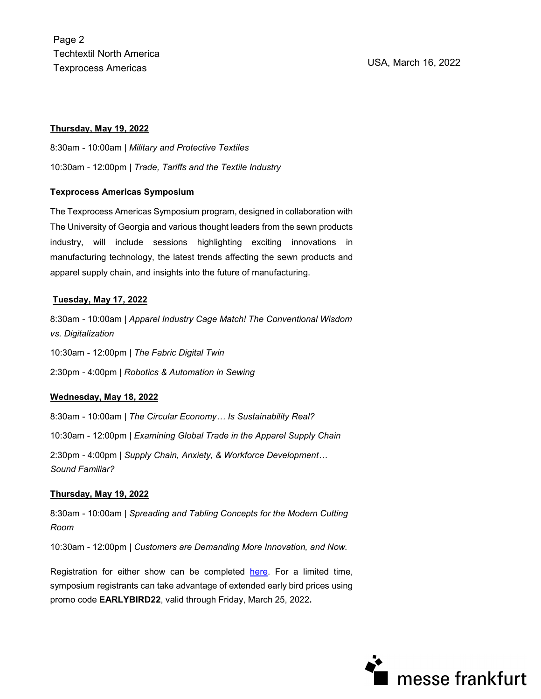Page 2 Techtextil North America Texprocess Americas USA, March 16, 2022

#### **Thursday, May 19, 2022**

8:30am - 10:00am | *Military and Protective Textiles* 10:30am - 12:00pm | *Trade, Tariffs and the Textile Industry*

#### **Texprocess Americas Symposium**

The Texprocess Americas Symposium program, designed in collaboration with The University of Georgia and various thought leaders from the sewn products industry, will include sessions highlighting exciting innovations in manufacturing technology, the latest trends affecting the sewn products and apparel supply chain, and insights into the future of manufacturing.

#### **Tuesday, May 17, 2022**

8:30am - 10:00am | *Apparel Industry Cage Match! The Conventional Wisdom vs. Digitalization*

10:30am - 12:00pm | *The Fabric Digital Twin*

2:30pm - 4:00pm | *Robotics & Automation in Sewing*

#### **Wednesday, May 18, 2022**

8:30am - 10:00am | *The Circular Economy… Is Sustainability Real?* 10:30am - 12:00pm | *Examining Global Trade in the Apparel Supply Chain* 2:30pm - 4:00pm | *Supply Chain, Anxiety, & Workforce Development… Sound Familiar?*

#### **Thursday, May 19, 2022**

8:30am - 10:00am | *Spreading and Tabling Concepts for the Modern Cutting Room*

10:30am - 12:00pm | *Customers are Demanding More Innovation, and Now.*

Registration for either show can be completed [here.](https://xpressreg.net/register/ttna0522/nav.asp?sc=PR3) For a limited time, symposium registrants can take advantage of extended early bird prices using promo code **EARLYBIRD22**, valid through Friday, March 25, 2022**.** 

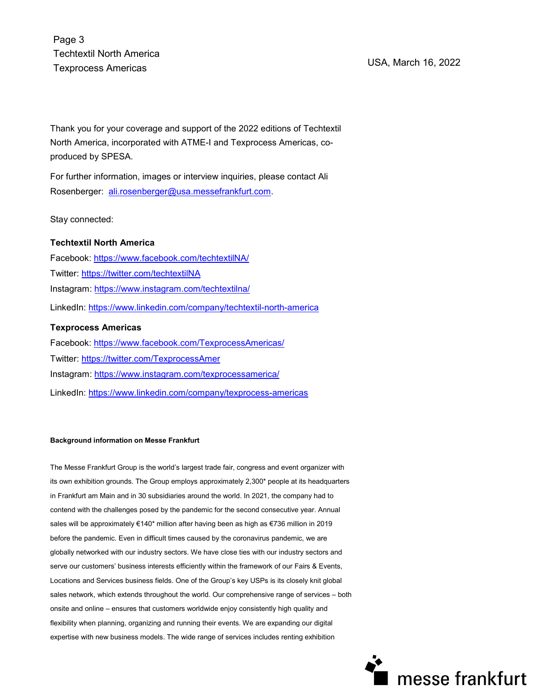Page 3 Techtextil North America Texprocess Americas USA, March 16, 2022

Thank you for your coverage and support of the 2022 editions of Techtextil North America, incorporated with ATME-I and Texprocess Americas, coproduced by [SPESA.](http://www.spesa.org/)

For further information, images or interview inquiries, please contact Ali Rosenberger: [ali.rosenberger@usa.messefrankfurt.com.](mailto:ali.rosenberger@usa.messefrankfurt.com)

Stay connected:

#### **Techtextil North America**

Facebook:<https://www.facebook.com/techtextilNA/> Twitter:<https://twitter.com/techtextilNA> Instagram:<https://www.instagram.com/techtextilna/> LinkedIn:<https://www.linkedin.com/company/techtextil-north-america>

#### **Texprocess Americas**

Facebook:<https://www.facebook.com/TexprocessAmericas/> Twitter:<https://twitter.com/TexprocessAmer> Instagram:<https://www.instagram.com/texprocessamerica/> LinkedIn:<https://www.linkedin.com/company/texprocess-americas>

#### **Background information on Messe Frankfurt**

The Messe Frankfurt Group is the world's largest trade fair, congress and event organizer with its own exhibition grounds. The Group employs approximately 2,300\* people at its headquarters in Frankfurt am Main and in 30 subsidiaries around the world. In 2021, the company had to contend with the challenges posed by the pandemic for the second consecutive year. Annual sales will be approximately €140\* million after having been as high as €736 million in 2019 before the pandemic. Even in difficult times caused by the coronavirus pandemic, we are globally networked with our industry sectors. We have close ties with our industry sectors and serve our customers' business interests efficiently within the framework of our Fairs & Events, Locations and Services business fields. One of the Group's key USPs is its closely knit global sales network, which extends throughout the world. Our comprehensive range of services – both onsite and online – ensures that customers worldwide enjoy consistently high quality and flexibility when planning, organizing and running their events. We are expanding our digital expertise with new business models. The wide range of services includes renting exhibition